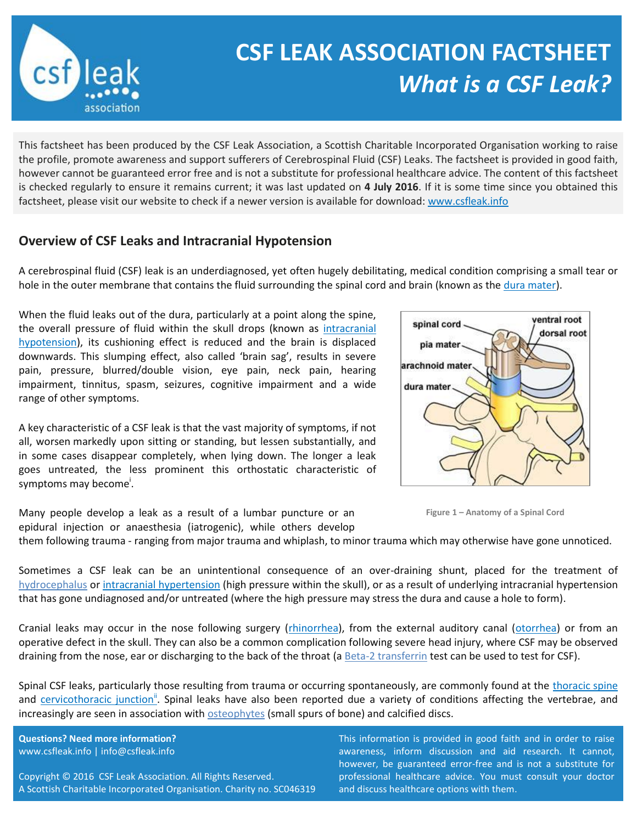

## **CSF LEAK ASSOCIATION FACTSHEET** *What is a CSF Leak?*

This factsheet has been produced by the CSF Leak Association, a Scottish Charitable Incorporated Organisation working to raise the profile, promote awareness and support sufferers of Cerebrospinal Fluid (CSF) Leaks. The factsheet is provided in good faith, however cannot be guaranteed error free and is not a substitute for professional healthcare advice. The content of this factsheet is checked regularly to ensure it remains current; it was last updated on **4 July 2016**. If it is some time since you obtained this factsheet, please visit our website to check if a newer version is available for download: [www.csfleak.info](http://www.csfleak.info/)

## **Overview of CSF Leaks and Intracranial Hypotension**

A cerebrospinal fluid (CSF) leak is an underdiagnosed, yet often hugely debilitating, medical condition comprising a small tear or hole in the outer membrane that contains the fluid surrounding the spinal cord and brain (known as the [dura](http://en.wikipedia.org/wiki/Dura_mater) mater).

When the fluid leaks out of the dura, particularly at a point along the spine, the overall pressure of fluid within the skull drops (known as [intracranial](http://neurosurgery.ucla.edu/body.cfm?id=1123&ref=55&action=detail)  [hypotension\)](http://neurosurgery.ucla.edu/body.cfm?id=1123&ref=55&action=detail), its cushioning effect is reduced and the brain is displaced downwards. This slumping effect, also called 'brain sag', results in severe pain, pressure, blurred/double vision, eye pain, neck pain, hearing impairment, tinnitus, spasm, seizures, cognitive impairment and a wide range of other symptoms.

A key characteristic of a CSF leak is that the vast majority of symptoms, if not all, worsen markedly upon sitting or standing, but lessen substantially, and in some cases disappear completely, when lying down. The longer a leak goes untreated, the less prominent this orthostatic characteristic of symptoms may become<sup>i</sup>.

Many people develop a leak as a result of a lumbar puncture or an epidural injection or anaesthesia (iatrogenic), while others develop





them following trauma - ranging from major trauma and whiplash, to minor trauma which may otherwise have gone unnoticed.

Sometimes a CSF leak can be an unintentional consequence of an over-draining shunt, placed for the treatment of [hydrocephalus](http://www.nhs.uk/Conditions/Hydrocephalus/Pages/Introduction.aspx) or [intracranial hypertension](http://www.nhs.uk/conditions/intracranial-hypertension/Pages/Introduction.aspx) (high pressure within the skull), or as a result of underlying intracranial hypertension that has gone undiagnosed and/or untreated (where the high pressure may stress the dura and cause a hole to form).

Cranial leaks may occur in the nose following surgery [\(rhinorrhea\)](http://emedicine.medscape.com/article/861126-overview), from the external auditory canal [\(otorrhea\)](http://emedicine.medscape.com/article/883160-overview) or from an operative defect in the skull. They can also be a common complication following severe head injury, where CSF may be observed draining from the nose, ear or discharging to the back of the throat (a [Beta-2 transferrin](https://en.wikipedia.org/wiki/Beta-2_transferrin) test can be used to test for CSF).

Spinal CSF leaks, particularly those resulting from trauma or occurring spontaneously, are commonly found at the [thoracic spine](http://en.wikipedia.org/wiki/Thoracic_vertebrae) and [cervicothoracic junction](http://www.ncbi.nlm.nih.gov/pubmed/17556139)<sup>"</sup>. Spinal leaks have also been reported due a variety of conditions affecting the vertebrae, and increasingly are seen in association with **osteophytes** (small spurs of bone) and calcified discs.

**Questions? Need more information?** www.csfleak.info | info@csfleak.info

Copyright © 2016 CSF Leak Association. All Rights Reserved. A Scottish Charitable Incorporated Organisation. Charity no. SC046319 This information is provided in good faith and in order to raise awareness, inform discussion and aid research. It cannot, however, be guaranteed error-free and is not a substitute for professional healthcare advice. You must consult your doctor and discuss healthcare options with them.